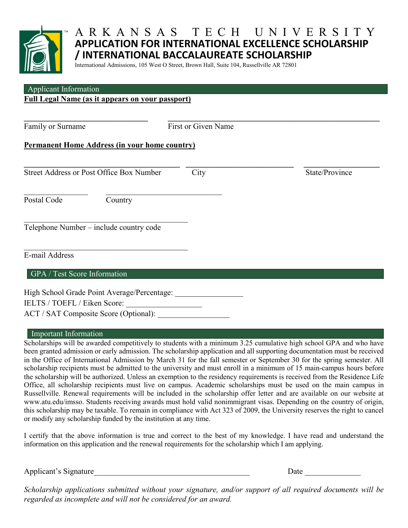

# ARKANSAS TECH UNIVERSITY **APPLICATION FOR INTERNATIONAL EXCELLENCE SCHOLARSHIP / INTERNATIONAL BACCALAUREATE SCHOLARSHIP**

International Admissions, 105 West O Street, Brown Hall, Suite 104, Russellville AR 72801

# Applicant Information

## **Full Legal Name (as it appears on your passport)**

**\_\_\_\_\_\_\_\_\_\_\_\_\_\_\_\_\_\_\_\_\_\_\_\_\_\_\_\_\_\_\_ \_\_\_\_\_\_\_\_\_\_\_\_\_\_\_\_\_\_\_\_\_\_\_\_\_\_\_\_\_\_\_\_\_\_\_\_\_\_\_\_\_\_\_\_\_\_\_\_\_\_\_\_\_** Family or Surname First or Given Name

#### **Permanent Home Address (in your home country)**

| <b>Street Address or Post Office Box Number</b> |                                         | City | State/Province |
|-------------------------------------------------|-----------------------------------------|------|----------------|
| Postal Code                                     | Country                                 |      |                |
|                                                 | Telephone Number – include country code |      |                |
| E-mail Address                                  |                                         |      |                |
| GPA / Test Score Information                    |                                         |      |                |

High School Grade Point Average/Percentage: IELTS / TOEFL / Eiken Score: \_\_\_\_\_\_\_\_\_\_\_\_\_\_\_\_\_\_\_ ACT / SAT Composite Score (Optional):

#### Important Information **Important** Information

Scholarships will be awarded competitively to students with a minimum 3.25 cumulative high school GPA and who have been granted admission or early admission. The scholarship application and all supporting documentation must be received in the Office of International Admission by March 31 for the fall semester or September 30 for the spring semester. All scholarship recipients must be admitted to the university and must enroll in a minimum of 15 main-campus hours before the scholarship will be authorized. Unless an exemption to the residency requirements is received from the Residence Life Office, all scholarship recipients must live on campus. Academic scholarships must be used on the main campus in Russellville. Renewal requirements will be included in the scholarship offer letter and are available on our website at www.atu.edu/imsso. Students receiving awards must hold valid nonimmigrant visas. Depending on the country of origin, this scholarship may be taxable. To remain in compliance with Act 323 of 2009, the University reserves the right to cancel or modify any scholarship funded by the institution at any time.

I certify that the above information is true and correct to the best of my knowledge. I have read and understand the information on this application and the renewal requirements for the scholarship which I am applying.

Applicant's Signature\_\_\_\_\_\_\_\_\_\_\_\_\_\_\_\_\_\_\_\_\_\_\_\_\_\_\_\_\_\_\_\_\_\_\_\_\_\_\_ Date \_\_\_\_\_\_\_\_\_\_\_\_\_\_

*Scholarship applications submitted without your signature, and/or support of all required documents will be regarded as incomplete and will not be considered for an award.*